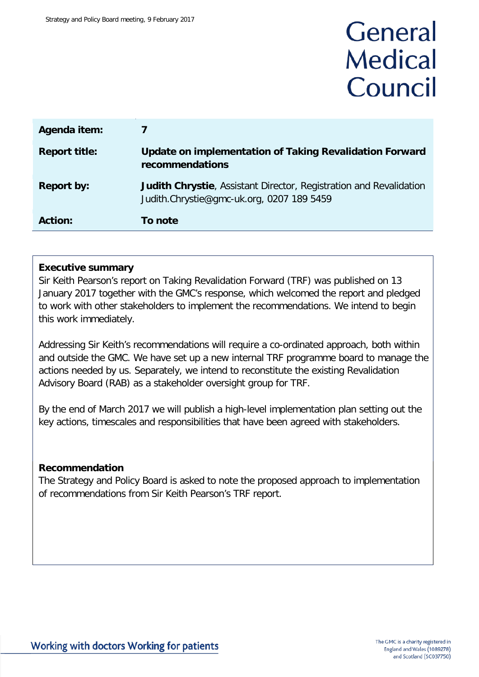# General **Medical** Council

| Agenda item:         |                                                                                                                        |
|----------------------|------------------------------------------------------------------------------------------------------------------------|
| <b>Report title:</b> | Update on implementation of Taking Revalidation Forward<br>recommendations                                             |
| <b>Report by:</b>    | <b>Judith Chrystie, Assistant Director, Registration and Revalidation</b><br>Judith.Chrystie@gmc-uk.org, 0207 189 5459 |
| <b>Action:</b>       | To note                                                                                                                |

# **Executive summary**

Sir Keith Pearson's report on Taking Revalidation Forward (TRF) was published on 13 January 2017 together with the GMC's response, which welcomed the report and pledged to work with other stakeholders to implement the recommendations. We intend to begin this work immediately.

Addressing Sir Keith's recommendations will require a co-ordinated approach, both within and outside the GMC. We have set up a new internal TRF programme board to manage the actions needed by us. Separately, we intend to reconstitute the existing Revalidation Advisory Board (RAB) as a stakeholder oversight group for TRF.

By the end of March 2017 we will publish a high-level implementation plan setting out the key actions, timescales and responsibilities that have been agreed with stakeholders.

## **Recommendation**

The Strategy and Policy Board is asked to note the proposed approach to implementation of recommendations from Sir Keith Pearson's TRF report.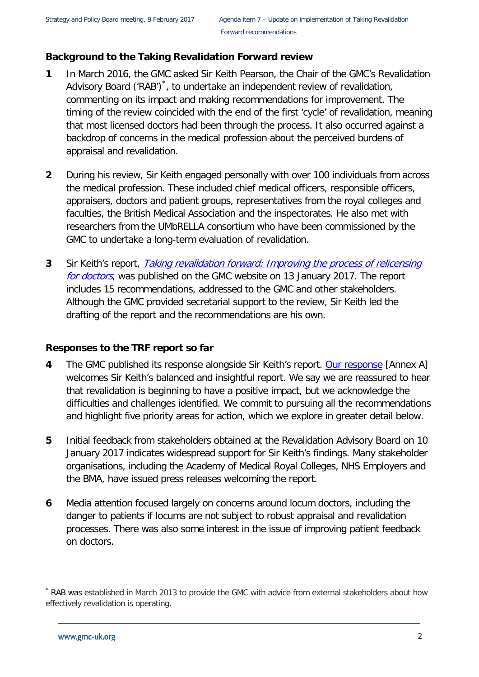# **Background to the Taking Revalidation Forward review**

- **1** In March 2016, the GMC asked Sir Keith Pearson, the Chair of the GMC's Revalidation Advisory Board ('RAB')<sup>[\\*](#page-1-0)</sup>, to undertake an independent review of revalidation, commenting on its impact and making recommendations for improvement. The timing of the review coincided with the end of the first 'cycle' of revalidation, meaning that most licensed doctors had been through the process. It also occurred against a backdrop of concerns in the medical profession about the perceived burdens of appraisal and revalidation.
- **2** During his review, Sir Keith engaged personally with over 100 individuals from across the medical profession. These included chief medical officers, responsible officers, appraisers, doctors and patient groups, representatives from the royal colleges and faculties, the British Medical Association and the inspectorates. He also met with researchers from the UMbRELLA consortium who have been commissioned by the GMC to undertake a long-term evaluation of revalidation.
- **3** Sir Keith's report, [Taking revalidation forward: Improving the process of relicensing](http://www.gmc-uk.org/Taking_revalidation_forward___Improving_the_process_of_relicensing_for_doctors.pdf_68683704.pdf)  [for doctors](http://www.gmc-uk.org/Taking_revalidation_forward___Improving_the_process_of_relicensing_for_doctors.pdf_68683704.pdf), was published on the GMC website on 13 January 2017. The report includes 15 recommendations, addressed to the GMC and other stakeholders. Although the GMC provided secretarial support to the review, Sir Keith led the drafting of the report and the recommendations are his own.

# **Responses to the TRF report so far**

- **4** The GMC published its response alongside Sir Keith's report. [Our response](http://www.gmc-uk.org/RT___Our_response_to_Sir_Keith_Pearson_s_review_of_revalidation___DC9676.pdf_68684817.pdf) [Annex A] welcomes Sir Keith's balanced and insightful report. We say we are reassured to hear that revalidation is beginning to have a positive impact, but we acknowledge the difficulties and challenges identified. We commit to pursuing all the recommendations and highlight five priority areas for action, which we explore in greater detail below.
- **5** Initial feedback from stakeholders obtained at the Revalidation Advisory Board on 10 January 2017 indicates widespread support for Sir Keith's findings. Many stakeholder organisations, including the Academy of Medical Royal Colleges, NHS Employers and the BMA, have issued press releases welcoming the report.
- **6** Media attention focused largely on concerns around locum doctors, including the danger to patients if locums are not subject to robust appraisal and revalidation processes. There was also some interest in the issue of improving patient feedback on doctors.

<span id="page-1-0"></span><sup>\*</sup> RAB was established in March 2013 to provide the GMC with advice from external stakeholders about how effectively revalidation is operating.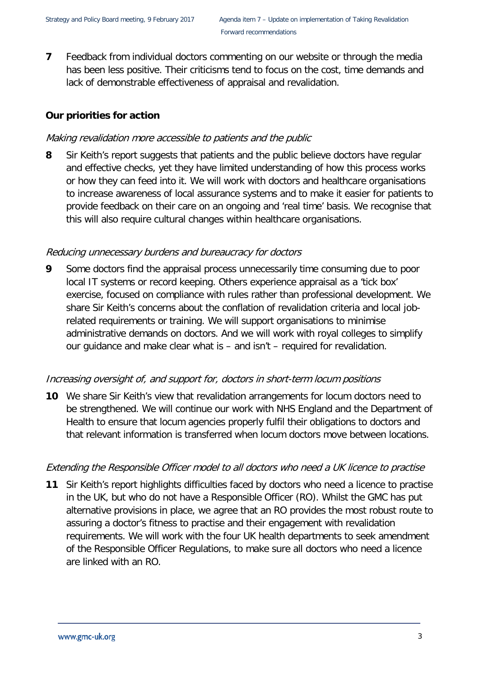**7** Feedback from individual doctors commenting on our website or through the media has been less positive. Their criticisms tend to focus on the cost, time demands and lack of demonstrable effectiveness of appraisal and revalidation.

# **Our priorities for action**

# Making revalidation more accessible to patients and the public

**8** Sir Keith's report suggests that patients and the public believe doctors have regular and effective checks, yet they have limited understanding of how this process works or how they can feed into it. We will work with doctors and healthcare organisations to increase awareness of local assurance systems and to make it easier for patients to provide feedback on their care on an ongoing and 'real time' basis. We recognise that this will also require cultural changes within healthcare organisations.

## Reducing unnecessary burdens and bureaucracy for doctors

**9** Some doctors find the appraisal process unnecessarily time consuming due to poor local IT systems or record keeping. Others experience appraisal as a 'tick box' exercise, focused on compliance with rules rather than professional development. We share Sir Keith's concerns about the conflation of revalidation criteria and local jobrelated requirements or training. We will support organisations to minimise administrative demands on doctors. And we will work with royal colleges to simplify our guidance and make clear what is – and isn't – required for revalidation.

## Increasing oversight of, and support for, doctors in short-term locum positions

**10** We share Sir Keith's view that revalidation arrangements for locum doctors need to be strengthened. We will continue our work with NHS England and the Department of Health to ensure that locum agencies properly fulfil their obligations to doctors and that relevant information is transferred when locum doctors move between locations.

## Extending the Responsible Officer model to all doctors who need a UK licence to practise

**11** Sir Keith's report highlights difficulties faced by doctors who need a licence to practise in the UK, but who do not have a Responsible Officer (RO). Whilst the GMC has put alternative provisions in place, we agree that an RO provides the most robust route to assuring a doctor's fitness to practise and their engagement with revalidation requirements. We will work with the four UK health departments to seek amendment of the Responsible Officer Regulations, to make sure all doctors who need a licence are linked with an RO.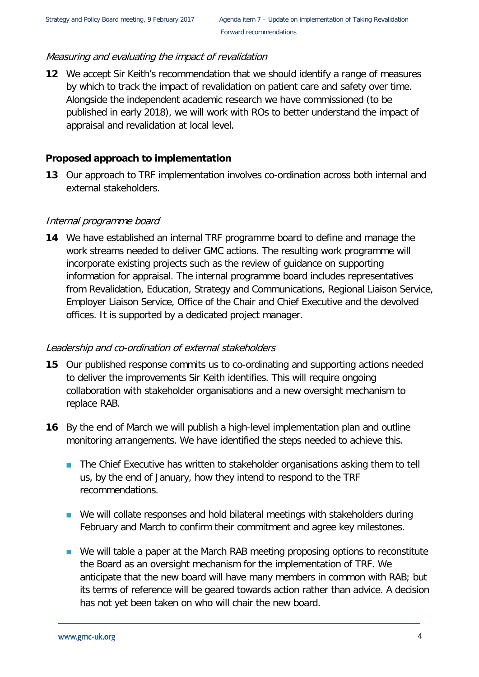# Measuring and evaluating the impact of revalidation

**12** We accept Sir Keith's recommendation that we should identify a range of measures by which to track the impact of revalidation on patient care and safety over time. Alongside the independent academic research we have commissioned (to be published in early 2018), we will work with ROs to better understand the impact of appraisal and revalidation at local level.

# **Proposed approach to implementation**

**13** Our approach to TRF implementation involves co-ordination across both internal and external stakeholders.

## Internal programme board

**14** We have established an internal TRF programme board to define and manage the work streams needed to deliver GMC actions. The resulting work programme will incorporate existing projects such as the review of guidance on supporting information for appraisal. The internal programme board includes representatives from Revalidation, Education, Strategy and Communications, Regional Liaison Service, Employer Liaison Service, Office of the Chair and Chief Executive and the devolved offices. It is supported by a dedicated project manager.

## Leadership and co-ordination of external stakeholders

- **15** Our published response commits us to co-ordinating and supporting actions needed to deliver the improvements Sir Keith identifies. This will require ongoing collaboration with stakeholder organisations and a new oversight mechanism to replace RAB.
- **16** By the end of March we will publish a high-level implementation plan and outline monitoring arrangements. We have identified the steps needed to achieve this.
	- The Chief Executive has written to stakeholder organisations asking them to tell us, by the end of January, how they intend to respond to the TRF recommendations.
	- We will collate responses and hold bilateral meetings with stakeholders during February and March to confirm their commitment and agree key milestones.
	- We will table a paper at the March RAB meeting proposing options to reconstitute the Board as an oversight mechanism for the implementation of TRF. We anticipate that the new board will have many members in common with RAB; but its terms of reference will be geared towards action rather than advice. A decision has not yet been taken on who will chair the new board.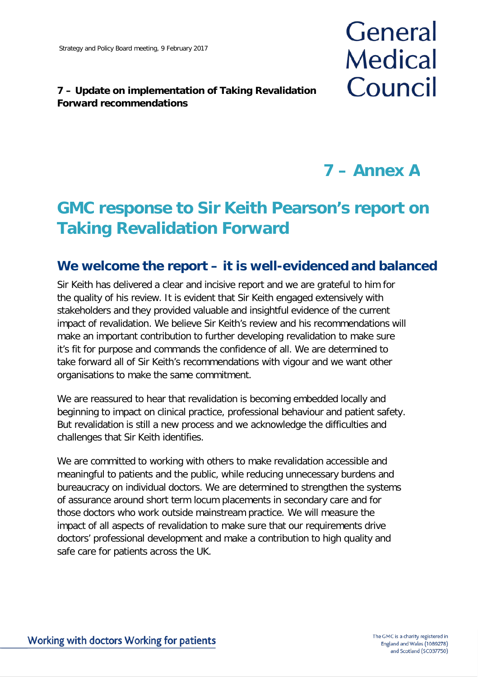# **7 – Update on implementation of Taking Revalidation Forward recommendations**

# General **Medical** Council

**7 – Annex A**

# **GMC response to Sir Keith Pearson's report on Taking Revalidation Forward**

# **We welcome the report – it is well-evidenced and balanced**

Sir Keith has delivered a clear and incisive report and we are grateful to him for the quality of his review. It is evident that Sir Keith engaged extensively with stakeholders and they provided valuable and insightful evidence of the current impact of revalidation. We believe Sir Keith's review and his recommendations will make an important contribution to further developing revalidation to make sure it's fit for purpose and commands the confidence of all. We are determined to take forward all of Sir Keith's recommendations with vigour and we want other organisations to make the same commitment.

We are reassured to hear that revalidation is becoming embedded locally and beginning to impact on clinical practice, professional behaviour and patient safety. But revalidation is still a new process and we acknowledge the difficulties and challenges that Sir Keith identifies.

We are committed to working with others to make revalidation accessible and meaningful to patients and the public, while reducing unnecessary burdens and bureaucracy on individual doctors. We are determined to strengthen the systems of assurance around short term locum placements in secondary care and for those doctors who work outside mainstream practice. We will measure the impact of all aspects of revalidation to make sure that our requirements drive doctors' professional development and make a contribution to high quality and safe care for patients across the UK.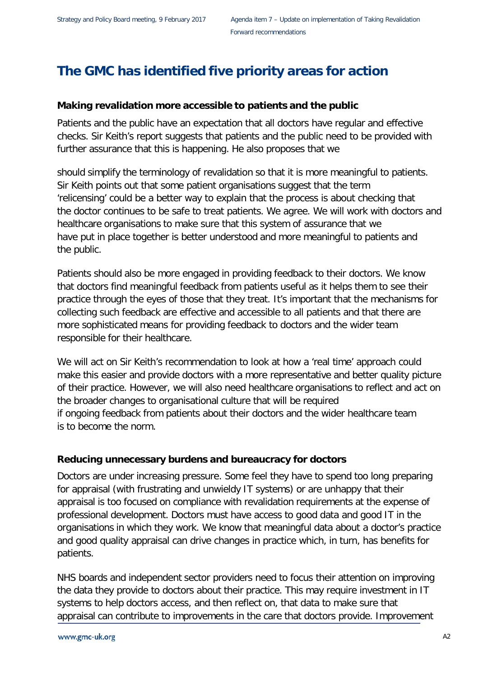# **The GMC has identified five priority areas for action**

# **Making revalidation more accessible to patients and the public**

Patients and the public have an expectation that all doctors have regular and effective checks. Sir Keith's report suggests that patients and the public need to be provided with further assurance that this is happening. He also proposes that we

should simplify the terminology of revalidation so that it is more meaningful to patients. Sir Keith points out that some patient organisations suggest that the term 'relicensing' could be a better way to explain that the process is about checking that the doctor continues to be safe to treat patients. We agree. We will work with doctors and healthcare organisations to make sure that this system of assurance that we have put in place together is better understood and more meaningful to patients and the public.

Patients should also be more engaged in providing feedback to their doctors. We know that doctors find meaningful feedback from patients useful as it helps them to see their practice through the eyes of those that they treat. It's important that the mechanisms for collecting such feedback are effective and accessible to all patients and that there are more sophisticated means for providing feedback to doctors and the wider team responsible for their healthcare.

We will act on Sir Keith's recommendation to look at how a 'real time' approach could make this easier and provide doctors with a more representative and better quality picture of their practice. However, we will also need healthcare organisations to reflect and act on the broader changes to organisational culture that will be required if ongoing feedback from patients about their doctors and the wider healthcare team is to become the norm.

# **Reducing unnecessary burdens and bureaucracy for doctors**

Doctors are under increasing pressure. Some feel they have to spend too long preparing for appraisal (with frustrating and unwieldy IT systems) or are unhappy that their appraisal is too focused on compliance with revalidation requirements at the expense of professional development. Doctors must have access to good data and good IT in the organisations in which they work. We know that meaningful data about a doctor's practice and good quality appraisal can drive changes in practice which, in turn, has benefits for patients.

NHS boards and independent sector providers need to focus their attention on improving the data they provide to doctors about their practice. This may require investment in IT systems to help doctors access, and then reflect on, that data to make sure that appraisal can contribute to improvements in the care that doctors provide. Improvement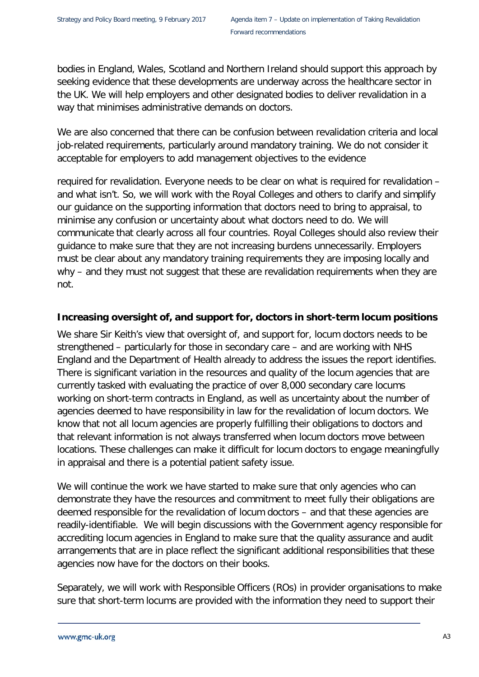bodies in England, Wales, Scotland and Northern Ireland should support this approach by seeking evidence that these developments are underway across the healthcare sector in the UK. We will help employers and other designated bodies to deliver revalidation in a way that minimises administrative demands on doctors.

We are also concerned that there can be confusion between revalidation criteria and local job-related requirements, particularly around mandatory training. We do not consider it acceptable for employers to add management objectives to the evidence

required for revalidation. Everyone needs to be clear on what is required for revalidation – and what isn't. So, we will work with the Royal Colleges and others to clarify and simplify our guidance on the supporting information that doctors need to bring to appraisal, to minimise any confusion or uncertainty about what doctors need to do. We will communicate that clearly across all four countries. Royal Colleges should also review their guidance to make sure that they are not increasing burdens unnecessarily. Employers must be clear about any mandatory training requirements they are imposing locally and why – and they must not suggest that these are revalidation requirements when they are not.

# **Increasing oversight of, and support for, doctors in short-term locum positions**

We share Sir Keith's view that oversight of, and support for, locum doctors needs to be strengthened – particularly for those in secondary care – and are working with NHS England and the Department of Health already to address the issues the report identifies. There is significant variation in the resources and quality of the locum agencies that are currently tasked with evaluating the practice of over 8,000 secondary care locums working on short-term contracts in England, as well as uncertainty about the number of agencies deemed to have responsibility in law for the revalidation of locum doctors. We know that not all locum agencies are properly fulfilling their obligations to doctors and that relevant information is not always transferred when locum doctors move between locations. These challenges can make it difficult for locum doctors to engage meaningfully in appraisal and there is a potential patient safety issue.

We will continue the work we have started to make sure that only agencies who can demonstrate they have the resources and commitment to meet fully their obligations are deemed responsible for the revalidation of locum doctors – and that these agencies are readily-identifiable. We will begin discussions with the Government agency responsible for accrediting locum agencies in England to make sure that the quality assurance and audit arrangements that are in place reflect the significant additional responsibilities that these agencies now have for the doctors on their books.

Separately, we will work with Responsible Officers (ROs) in provider organisations to make sure that short-term locums are provided with the information they need to support their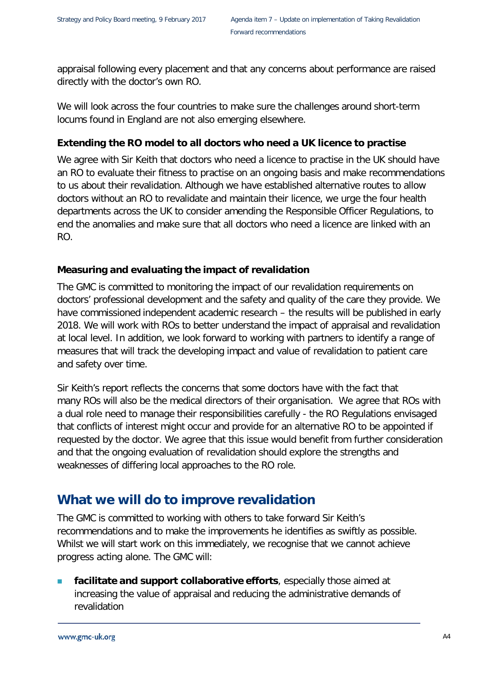appraisal following every placement and that any concerns about performance are raised directly with the doctor's own RO.

We will look across the four countries to make sure the challenges around short-term locums found in England are not also emerging elsewhere.

# **Extending the RO model to all doctors who need a UK licence to practise**

We agree with Sir Keith that doctors who need a licence to practise in the UK should have an RO to evaluate their fitness to practise on an ongoing basis and make recommendations to us about their revalidation. Although we have established alternative routes to allow doctors without an RO to revalidate and maintain their licence, we urge the four health departments across the UK to consider amending the Responsible Officer Regulations, to end the anomalies and make sure that all doctors who need a licence are linked with an RO.

# **Measuring and evaluating the impact of revalidation**

The GMC is committed to monitoring the impact of our revalidation requirements on doctors' professional development and the safety and quality of the care they provide. We have commissioned independent academic research – the results will be published in early 2018. We will work with ROs to better understand the impact of appraisal and revalidation at local level. In addition, we look forward to working with partners to identify a range of measures that will track the developing impact and value of revalidation to patient care and safety over time.

Sir Keith's report reflects the concerns that some doctors have with the fact that many ROs will also be the medical directors of their organisation. We agree that ROs with a dual role need to manage their responsibilities carefully - the RO Regulations envisaged that conflicts of interest might occur and provide for an alternative RO to be appointed if requested by the doctor. We agree that this issue would benefit from further consideration and that the ongoing evaluation of revalidation should explore the strengths and weaknesses of differing local approaches to the RO role.

# **What we will do to improve revalidation**

The GMC is committed to working with others to take forward Sir Keith's recommendations and to make the improvements he identifies as swiftly as possible. Whilst we will start work on this immediately, we recognise that we cannot achieve progress acting alone. The GMC will:

 **facilitate and support collaborative efforts**, especially those aimed at increasing the value of appraisal and reducing the administrative demands of revalidation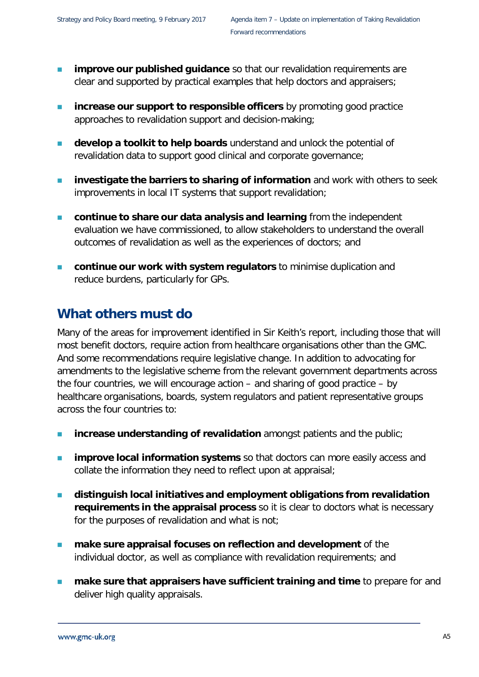- **improve our published guidance** so that our revalidation requirements are clear and supported by practical examples that help doctors and appraisers;
- **increase our support to responsible officers** by promoting good practice approaches to revalidation support and decision-making;
- **develop a toolkit to help boards** understand and unlock the potential of revalidation data to support good clinical and corporate governance;
- **investigate the barriers to sharing of information** and work with others to seek improvements in local IT systems that support revalidation;
- **continue to share our data analysis and learning** from the independent evaluation we have commissioned, to allow stakeholders to understand the overall outcomes of revalidation as well as the experiences of doctors; and
- **continue our work with system regulators** to minimise duplication and reduce burdens, particularly for GPs.

# **What others must do**

Many of the areas for improvement identified in Sir Keith's report, including those that will most benefit doctors, require action from healthcare organisations other than the GMC. And some recommendations require legislative change. In addition to advocating for amendments to the legislative scheme from the relevant government departments across the four countries, we will encourage action – and sharing of good practice – by healthcare organisations, boards, system regulators and patient representative groups across the four countries to:

- **increase understanding of revalidation** amongst patients and the public;
- **improve local information systems** so that doctors can more easily access and collate the information they need to reflect upon at appraisal;
- **distinguish local initiatives and employment obligations from revalidation requirements in the appraisal process** so it is clear to doctors what is necessary for the purposes of revalidation and what is not;
- **make sure appraisal focuses on reflection and development** of the individual doctor, as well as compliance with revalidation requirements; and
- **make sure that appraisers have sufficient training and time** to prepare for and deliver high quality appraisals.